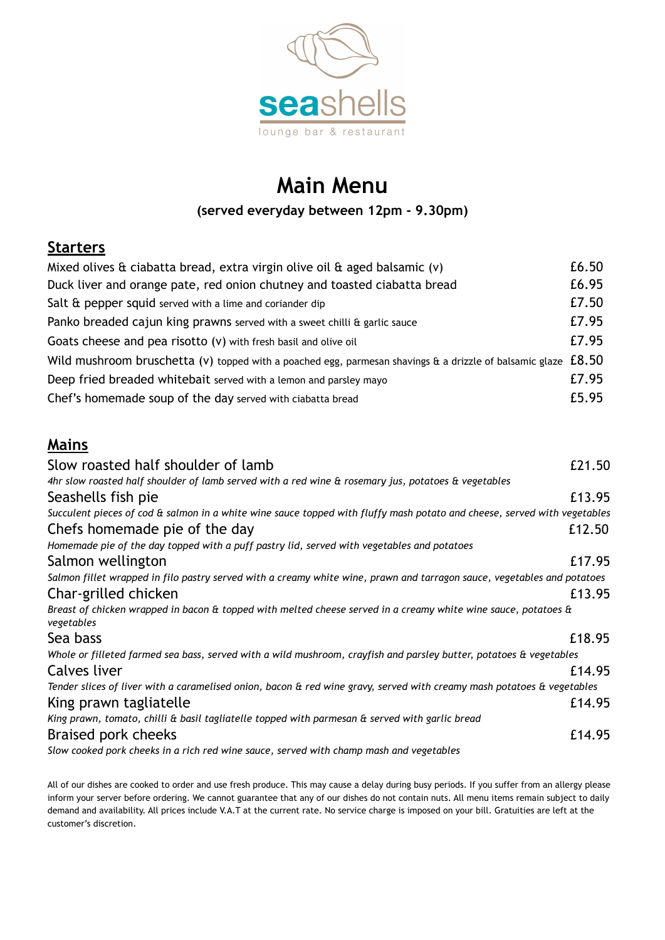

# **Main Menu**

#### **(served everyday between 12pm - 9.30pm)**

## **Starters**

| Mixed olives $\hat{a}$ ciabatta bread, extra virgin olive oil $\hat{a}$ aged balsamic (v)                        | £6.50 |
|------------------------------------------------------------------------------------------------------------------|-------|
| Duck liver and orange pate, red onion chutney and toasted ciabatta bread                                         | £6.95 |
| Salt $\hat{a}$ pepper squid served with a lime and coriander dip                                                 | £7.50 |
| Panko breaded cajun king prawns served with a sweet chilli & garlic sauce                                        | £7.95 |
| Goats cheese and pea risotto (v) with fresh basil and olive oil                                                  | £7.95 |
| Wild mushroom bruschetta (v) topped with a poached egg, parmesan shavings & a drizzle of balsamic glaze $ £8.50$ |       |
| Deep fried breaded whitebait served with a lemon and parsley mayo                                                | £7.95 |
| Chef's homemade soup of the day served with ciabatta bread                                                       | £5.95 |

### **Mains**

| Slow roasted half shoulder of lamb                                                                                           | £21.50 |
|------------------------------------------------------------------------------------------------------------------------------|--------|
| 4hr slow roasted half shoulder of lamb served with a red wine & rosemary jus, potatoes & vegetables                          |        |
| Seashells fish pie                                                                                                           | £13.95 |
| Succulent pieces of cod & salmon in a white wine sauce topped with fluffy mash potato and cheese, served with vegetables     |        |
| Chefs homemade pie of the day                                                                                                | £12.50 |
| Homemade pie of the day topped with a puff pastry lid, served with vegetables and potatoes                                   |        |
| Salmon wellington                                                                                                            | £17.95 |
| Salmon fillet wrapped in filo pastry served with a creamy white wine, prawn and tarragon sauce, vegetables and potatoes      |        |
| Char-grilled chicken                                                                                                         | £13.95 |
| Breast of chicken wrapped in bacon & topped with melted cheese served in a creamy white wine sauce, potatoes &<br>vegetables |        |
| Sea bass                                                                                                                     | £18.95 |
| Whole or filleted farmed sea bass, served with a wild mushroom, crayfish and parsley butter, potatoes & vegetables           |        |
| Calves liver                                                                                                                 | £14.95 |
| Tender slices of liver with a caramelised onion, bacon & red wine gravy, served with creamy mash potatoes & vegetables       |        |
| King prawn tagliatelle                                                                                                       | £14.95 |
| King prawn, tomato, chilli & basil tagliatelle topped with parmesan & served with garlic bread                               |        |
| Braised pork cheeks                                                                                                          | £14.95 |
| Slow cooked pork cheeks in a rich red wine sauce, served with champ mash and vegetables                                      |        |

All of our dishes are cooked to order and use fresh produce. This may cause a delay during busy periods. If you suffer from an allergy please inform your server before ordering. We cannot guarantee that any of our dishes do not contain nuts. All menu items remain subject to daily demand and availability. All prices include V.A.T at the current rate. No service charge is imposed on your bill. Gratuities are left at the customer's discretion.